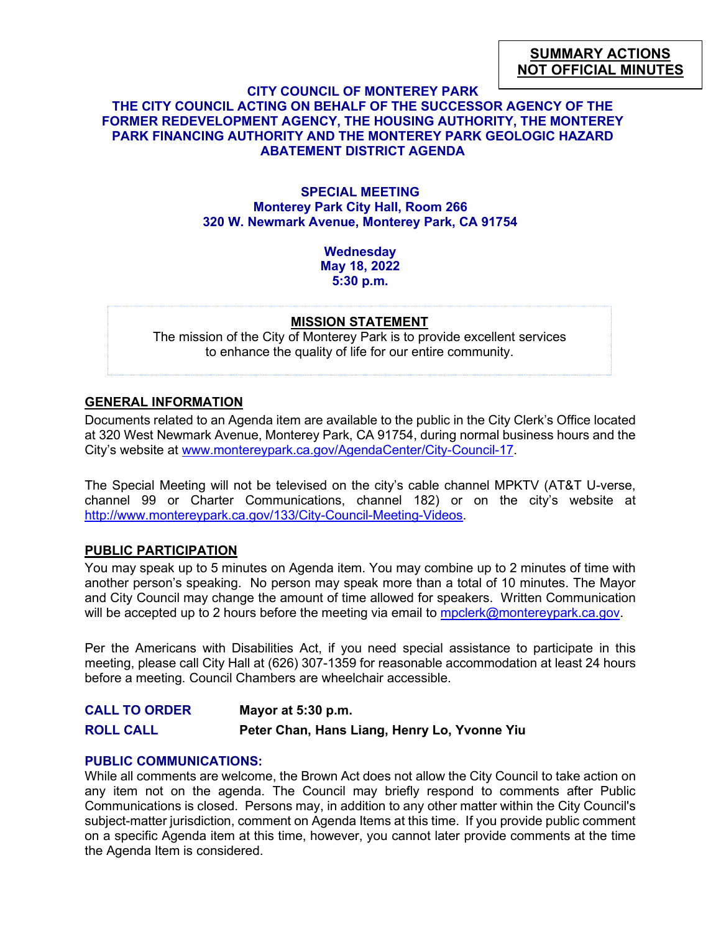# **SUMMARY ACTIONS NOT OFFICIAL MINUTES**

### **CITY COUNCIL OF MONTEREY PARK THE CITY COUNCIL ACTING ON BEHALF OF THE SUCCESSOR AGENCY OF THE FORMER REDEVELOPMENT AGENCY, THE HOUSING AUTHORITY, THE MONTEREY PARK FINANCING AUTHORITY AND THE MONTEREY PARK GEOLOGIC HAZARD ABATEMENT DISTRICT AGENDA**

### **SPECIAL MEETING Monterey Park City Hall, Room 266 320 W. Newmark Avenue, Monterey Park, CA 91754**

**Wednesday May 18, 2022 5:30 p.m.**

#### **MISSION STATEMENT**

The mission of the City of Monterey Park is to provide excellent services to enhance the quality of life for our entire community.

## **GENERAL INFORMATION**

Documents related to an Agenda item are available to the public in the City Clerk's Office located at 320 West Newmark Avenue, Monterey Park, CA 91754, during normal business hours and the City's website at [www.montereypark.ca.gov/AgendaCenter/City-Council-17.](http://www.montereypark.ca.gov/AgendaCenter/City-Council-17)

The Special Meeting will not be televised on the city's cable channel MPKTV (AT&T U-verse, channel 99 or Charter Communications, channel 182) or on the city's website at [http://www.montereypark.ca.gov/133/City-Council-Meeting-Videos.](http://www.montereypark.ca.gov/133/City-Council-Meeting-Videos)

#### **PUBLIC PARTICIPATION**

You may speak up to 5 minutes on Agenda item. You may combine up to 2 minutes of time with another person's speaking. No person may speak more than a total of 10 minutes. The Mayor and City Council may change the amount of time allowed for speakers. Written Communication will be accepted up to 2 hours before the meeting via email to [mpclerk@montereypark.ca.gov.](mailto:mpclerk@montereypark.ca.gov)

Per the Americans with Disabilities Act, if you need special assistance to participate in this meeting, please call City Hall at (626) 307-1359 for reasonable accommodation at least 24 hours before a meeting. Council Chambers are wheelchair accessible.

**CALL TO ORDER Mayor at 5:30 p.m. ROLL CALL Peter Chan, Hans Liang, Henry Lo, Yvonne Yiu**

#### **PUBLIC COMMUNICATIONS:**

While all comments are welcome, the Brown Act does not allow the City Council to take action on any item not on the agenda. The Council may briefly respond to comments after Public Communications is closed. Persons may, in addition to any other matter within the City Council's subject-matter jurisdiction, comment on Agenda Items at this time. If you provide public comment on a specific Agenda item at this time, however, you cannot later provide comments at the time the Agenda Item is considered.